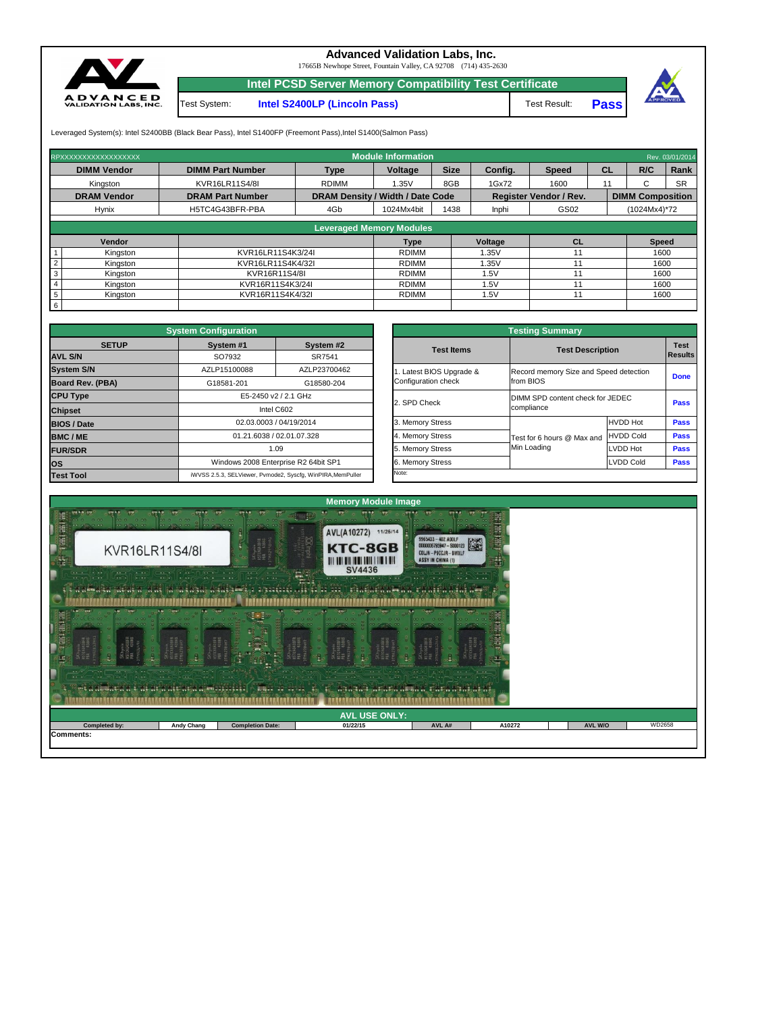**Intel PCSD Server Memory Compatibility Test Certificate**

**Intel S2400LP (Lincoln Pass)** Test Result: Test System:



## **Advanced Validation Labs, Inc.**

17665B Newhope Street, Fountain Valley, CA 92708 (714) 435-2630

**Pass**



Leveraged System(s): Intel S2400BB (Black Bear Pass), Intel S1400FP (Freemont Pass), Intel S1400(Salmon Pass)

| RPXXXXXXXXXXXXXXXXXX | <b>Module Information</b><br>Rev. 03/01/2014 |                                         |            |             |              |                               |           |                         |      |  |  |
|----------------------|----------------------------------------------|-----------------------------------------|------------|-------------|--------------|-------------------------------|-----------|-------------------------|------|--|--|
| <b>DIMM Vendor</b>   | <b>DIMM Part Number</b>                      | <b>Type</b>                             | Voltage    | <b>Size</b> | Config.      | <b>Speed</b>                  | <b>CL</b> | R/C                     | Rank |  |  |
| Kingston             | KVR16LR11S4/8I                               | <b>RDIMM</b>                            | 1.35V      | 8GB         | 1Gx72        | 1600                          | 11        |                         |      |  |  |
| <b>DRAM Vendor</b>   | <b>DRAM Part Number</b>                      | <b>DRAM Density / Width / Date Code</b> |            |             |              | <b>Register Vendor / Rev.</b> |           | <b>DIMM Composition</b> |      |  |  |
| <b>Hynix</b>         | H5TC4G43BFR-PBA                              | 4Gb                                     | 1024Mx4bit | 1438        | <b>Inphi</b> | GS02                          |           | $(1024Mx4)*72$          |      |  |  |
|                      |                                              |                                         |            |             |              |                               |           |                         |      |  |  |
|                      |                                              | <b>Leveraged Memory Modules</b>         |            |             |              |                               |           |                         |      |  |  |

|               |                   | Leveraged Memory Modules |         |    |              |
|---------------|-------------------|--------------------------|---------|----|--------------|
| <b>Vendor</b> |                   | Type                     | Voltage | СL | <b>Speed</b> |
| Kingston      | KVR16LR11S4K3/24I | <b>RDIMM</b>             | .35V    |    | 1600         |
| Kingston      | KVR16LR11S4K4/32I | <b>RDIMM</b>             | .35V    |    | 1600         |
| Kingston      | KVR16R11S4/8I     | <b>RDIMM</b>             | .5V     |    | 1600         |
| Kingston      | KVR16R11S4K3/24I  | <b>RDIMM</b>             | .5V     |    | 1600         |
| Kingston      | KVR16R11S4K4/32I  | <b>RDIMM</b>             | .5V     |    | 1600         |
|               |                   |                          |         |    |              |

|                         | <b>System Configuration</b>                |                                                             | <b>Testing Summary</b> |                                        |                  |             |  |  |  |  |
|-------------------------|--------------------------------------------|-------------------------------------------------------------|------------------------|----------------------------------------|------------------|-------------|--|--|--|--|
| <b>SETUP</b>            | System #1<br>System #2<br>SO7932<br>SR7541 |                                                             | <b>Test Items</b>      | <b>Test Description</b>                |                  |             |  |  |  |  |
| <b>AVL S/N</b>          |                                            |                                                             |                        |                                        |                  |             |  |  |  |  |
| <b>System S/N</b>       | AZLP15100088                               | AZLP23700462                                                | Latest BIOS Upgrade &  | Record memory Size and Speed detection | <b>Done</b>      |             |  |  |  |  |
| <b>Board Rev. (PBA)</b> | G18581-201                                 | G18580-204                                                  | Configuration check    | from BIOS                              |                  |             |  |  |  |  |
| <b>CPU Type</b>         | E5-2450 v2 / 2.1 GHz                       |                                                             |                        | DIMM SPD content check for JEDEC       |                  |             |  |  |  |  |
| <b>Chipset</b>          |                                            | Intel C602                                                  | 2. SPD Check           | compliance                             |                  |             |  |  |  |  |
| <b>BIOS / Date</b>      |                                            | 02.03.0003 / 04/19/2014                                     | 3. Memory Stress       |                                        | <b>HVDD Hot</b>  | <b>Pass</b> |  |  |  |  |
| <b>BMC/ME</b>           |                                            | 01.21.6038 / 02.01.07.328                                   | 4. Memory Stress       | Test for 6 hours @ Max and             | <b>HVDD Cold</b> | <b>Pass</b> |  |  |  |  |
| <b>FUR/SDR</b>          |                                            | 5. Memory Stress<br>1.09                                    |                        | Min Loading                            | <b>LVDD Hot</b>  | <b>Pass</b> |  |  |  |  |
| los                     |                                            | Windows 2008 Enterprise R2 64bit SP1                        | 6. Memory Stress       |                                        | LVDD Cold        | <b>Pass</b> |  |  |  |  |
| <b>Test Tool</b>        |                                            | iWVSS 2.5.3, SELViewer, Pvmode2, Syscfg, WinPIRA, MemPuller | Note:                  |                                        |                  |             |  |  |  |  |

| <b>Testing Summary</b>                          |                                                     |                  |                               |  |  |  |  |  |  |  |
|-------------------------------------------------|-----------------------------------------------------|------------------|-------------------------------|--|--|--|--|--|--|--|
| <b>Test Items</b>                               | <b>Test Description</b>                             |                  | <b>Test</b><br><b>Results</b> |  |  |  |  |  |  |  |
| 1. Latest BIOS Upgrade &<br>Configuration check | Record memory Size and Speed detection<br>from BIOS | <b>Done</b>      |                               |  |  |  |  |  |  |  |
| 2. SPD Check                                    | DIMM SPD content check for JEDEC<br>compliance      | <b>Pass</b>      |                               |  |  |  |  |  |  |  |
| 3. Memory Stress                                |                                                     | <b>HVDD Hot</b>  | <b>Pass</b>                   |  |  |  |  |  |  |  |
| 4. Memory Stress                                | Test for 6 hours @ Max and                          | <b>HVDD Cold</b> | <b>Pass</b>                   |  |  |  |  |  |  |  |
| 5. Memory Stress                                | Min Loading                                         | LVDD Hot         | <b>Pass</b>                   |  |  |  |  |  |  |  |
| 6. Memory Stress                                |                                                     | <b>LVDD Cold</b> | <b>Pass</b>                   |  |  |  |  |  |  |  |
| Note:                                           |                                                     |                  |                               |  |  |  |  |  |  |  |

| Control Old's Children<br>$-0.45$<br>$+ + - +$<br>$-1.14$ . The $-1$<br>$-1$<br>8 - 1 - 1 - 1 - 1<br>$ +$ $+$ | <u>to vest de la</u> vasse de<br><b>THE END OF STREET</b><br>$\frac{1}{2} \left( \frac{1}{2} \right) \left( \frac{1}{2} \right) \left( \frac{1}{2} \right) \left( \frac{1}{2} \right) \left( \frac{1}{2} \right) \left( \frac{1}{2} \right) \left( \frac{1}{2} \right) \left( \frac{1}{2} \right) \left( \frac{1}{2} \right) \left( \frac{1}{2} \right) \left( \frac{1}{2} \right) \left( \frac{1}{2} \right) \left( \frac{1}{2} \right) \left( \frac{1}{2} \right) \left( \frac{1}{2} \right) \left( \frac{1}{2} \right) \left( \frac$<br><b>CONTINUES</b><br>$\frac{1}{2} \left( \frac{1}{2} \right) \left( \frac{1}{2} \right) \left( \frac{1}{2} \right) \left( \frac{1}{2} \right) \left( \frac{1}{2} \right) \left( \frac{1}{2} \right) \left( \frac{1}{2} \right) \left( \frac{1}{2} \right) \left( \frac{1}{2} \right) \left( \frac{1}{2} \right) \left( \frac{1}{2} \right) \left( \frac{1}{2} \right) \left( \frac{1}{2} \right) \left( \frac{1}{2} \right) \left( \frac{1}{2} \right) \left( \frac{1}{2} \right) \left( \frac$<br>wood CEO HOTEL<br><b>School GEORGEORD</b><br>$\begin{array}{c cccc}\n\hline\n\end{array}$<br>Altres Company<br>$\mathcal{N} = \mathcal{N} \times \mathcal{N}$<br>$\cdots$<br>$\cdots$<br>$\cdot$ $\cdot$<br>$-1$ $-1$ $-1$ $-1$<br>$\sim$ $\sim$ $\sim$ $\sim$<br>$\begin{array}{ccc} \hline \begin{array}{ccc} \bullet & \bullet & \end{array} & \bullet & \end{array} \begin{array}{ccc} \bullet & \bullet & \bullet & \bullet \end{array}$<br>$\cdots$<br>$\cdots$ . $\cdots$<br>$-1$<br>$\cdots$<br>$10 - 7 - 7$<br>et a abdata a t'ai ar a nitana al-diriririri<br>wangina wanan na ini masa nana na na<br><b>ALLES DE BEGER</b> |                         |          |        |        |                |        |  |  |  |  |  |  |  |
|---------------------------------------------------------------------------------------------------------------|------------------------------------------------------------------------------------------------------------------------------------------------------------------------------------------------------------------------------------------------------------------------------------------------------------------------------------------------------------------------------------------------------------------------------------------------------------------------------------------------------------------------------------------------------------------------------------------------------------------------------------------------------------------------------------------------------------------------------------------------------------------------------------------------------------------------------------------------------------------------------------------------------------------------------------------------------------------------------------------------------------------------------------------------------------------------------------------------------------------------------------------------------------------------------------------------------------------------------------------------------------------------------------------------------------------------------------------------------------------------------------------------------------------------------------------------------------------------------------------------------------------------------------------------------------------------------------------------------------------------------------------------------------------------------------|-------------------------|----------|--------|--------|----------------|--------|--|--|--|--|--|--|--|
| <b>AVL USE ONLY:</b>                                                                                          |                                                                                                                                                                                                                                                                                                                                                                                                                                                                                                                                                                                                                                                                                                                                                                                                                                                                                                                                                                                                                                                                                                                                                                                                                                                                                                                                                                                                                                                                                                                                                                                                                                                                                    |                         |          |        |        |                |        |  |  |  |  |  |  |  |
| Completed by:                                                                                                 | <b>Andy Chang</b>                                                                                                                                                                                                                                                                                                                                                                                                                                                                                                                                                                                                                                                                                                                                                                                                                                                                                                                                                                                                                                                                                                                                                                                                                                                                                                                                                                                                                                                                                                                                                                                                                                                                  | <b>Completion Date:</b> | 01/22/15 | AVL A# | A10272 | <b>AVL W/O</b> | WD2658 |  |  |  |  |  |  |  |
| Comments:                                                                                                     |                                                                                                                                                                                                                                                                                                                                                                                                                                                                                                                                                                                                                                                                                                                                                                                                                                                                                                                                                                                                                                                                                                                                                                                                                                                                                                                                                                                                                                                                                                                                                                                                                                                                                    |                         |          |        |        |                |        |  |  |  |  |  |  |  |